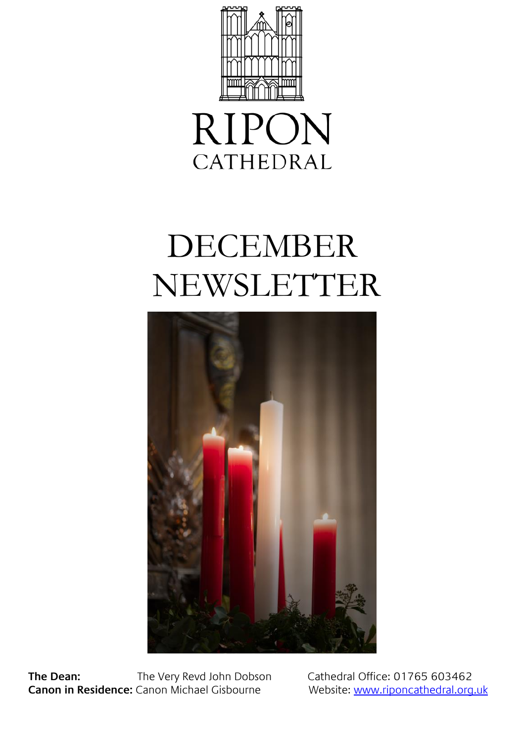



# DECEMBER NEWSLETTER



**The Dean:** The Very Revd John Dobson Cathedral Office: 01765 603462 **Canon in Residence:** Canon Michael Gisbourne Website[: www.riponcathedral.org.uk](http://www.riponcathedral.org.uk/)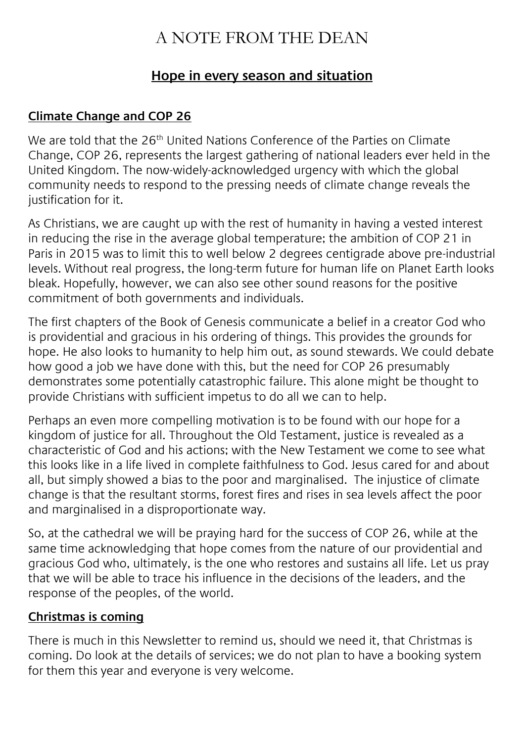# A NOTE FROM THE DEAN

## **Hope in every season and situation**

#### **Climate Change and COP 26**

We are told that the 26<sup>th</sup> United Nations Conference of the Parties on Climate Change, COP 26, represents the largest gathering of national leaders ever held in the United Kingdom. The now-widely-acknowledged urgency with which the global community needs to respond to the pressing needs of climate change reveals the justification for it.

As Christians, we are caught up with the rest of humanity in having a vested interest in reducing the rise in the average global temperature; the ambition of COP 21 in Paris in 2015 was to limit this to well below 2 degrees centigrade above pre-industrial levels. Without real progress, the long-term future for human life on Planet Earth looks bleak. Hopefully, however, we can also see other sound reasons for the positive commitment of both governments and individuals.

The first chapters of the Book of Genesis communicate a belief in a creator God who is providential and gracious in his ordering of things. This provides the grounds for hope. He also looks to humanity to help him out, as sound stewards. We could debate how good a job we have done with this, but the need for COP 26 presumably demonstrates some potentially catastrophic failure. This alone might be thought to provide Christians with sufficient impetus to do all we can to help.

Perhaps an even more compelling motivation is to be found with our hope for a kingdom of justice for all. Throughout the Old Testament, justice is revealed as a characteristic of God and his actions; with the New Testament we come to see what this looks like in a life lived in complete faithfulness to God. Jesus cared for and about all, but simply showed a bias to the poor and marginalised. The injustice of climate change is that the resultant storms, forest fires and rises in sea levels affect the poor and marginalised in a disproportionate way.

So, at the cathedral we will be praying hard for the success of COP 26, while at the same time acknowledging that hope comes from the nature of our providential and gracious God who, ultimately, is the one who restores and sustains all life. Let us pray that we will be able to trace his influence in the decisions of the leaders, and the response of the peoples, of the world.

#### **Christmas is coming**

There is much in this Newsletter to remind us, should we need it, that Christmas is coming. Do look at the details of services; we do not plan to have a booking system for them this year and everyone is very welcome.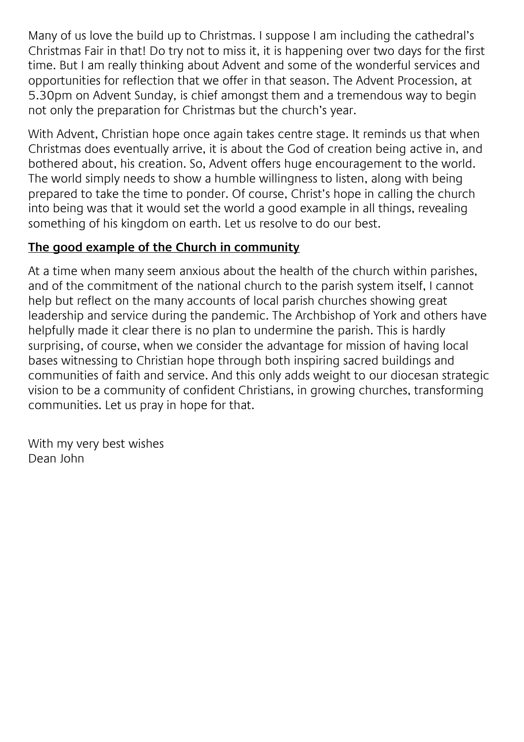Many of us love the build up to Christmas. I suppose I am including the cathedral's Christmas Fair in that! Do try not to miss it, it is happening over two days for the first time. But I am really thinking about Advent and some of the wonderful services and opportunities for reflection that we offer in that season. The Advent Procession, at 5.30pm on Advent Sunday, is chief amongst them and a tremendous way to begin not only the preparation for Christmas but the church's year.

With Advent, Christian hope once again takes centre stage. It reminds us that when Christmas does eventually arrive, it is about the God of creation being active in, and bothered about, his creation. So, Advent offers huge encouragement to the world. The world simply needs to show a humble willingness to listen, along with being prepared to take the time to ponder. Of course, Christ's hope in calling the church into being was that it would set the world a good example in all things, revealing something of his kingdom on earth. Let us resolve to do our best.

### **The good example of the Church in community**

At a time when many seem anxious about the health of the church within parishes, and of the commitment of the national church to the parish system itself, I cannot help but reflect on the many accounts of local parish churches showing great leadership and service during the pandemic. The Archbishop of York and others have helpfully made it clear there is no plan to undermine the parish. This is hardly surprising, of course, when we consider the advantage for mission of having local bases witnessing to Christian hope through both inspiring sacred buildings and communities of faith and service. And this only adds weight to our diocesan strategic vision to be a community of confident Christians, in growing churches, transforming communities. Let us pray in hope for that.

With my very best wishes Dean John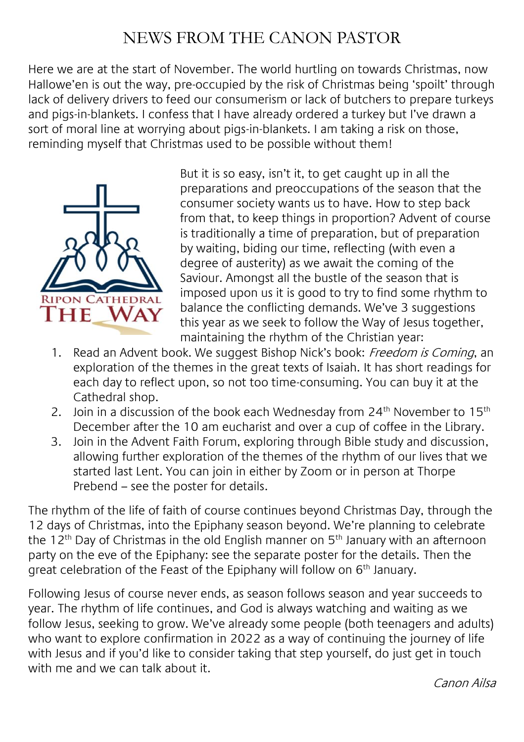# NEWS FROM THE CANON PASTOR

Here we are at the start of November. The world hurtling on towards Christmas, now Hallowe'en is out the way, pre-occupied by the risk of Christmas being 'spoilt' through lack of delivery drivers to feed our consumerism or lack of butchers to prepare turkeys and pigs-in-blankets. I confess that I have already ordered a turkey but I've drawn a sort of moral line at worrying about pigs-in-blankets. I am taking a risk on those, reminding myself that Christmas used to be possible without them!



But it is so easy, isn't it, to get caught up in all the preparations and preoccupations of the season that the consumer society wants us to have. How to step back from that, to keep things in proportion? Advent of course is traditionally a time of preparation, but of preparation by waiting, biding our time, reflecting (with even a degree of austerity) as we await the coming of the Saviour. Amongst all the bustle of the season that is imposed upon us it is good to try to find some rhythm to balance the conflicting demands. We've 3 suggestions this year as we seek to follow the Way of Jesus together, maintaining the rhythm of the Christian year:

- 1. Read an Advent book. We suggest Bishop Nick's book: Freedom is Coming, an exploration of the themes in the great texts of Isaiah. It has short readings for each day to reflect upon, so not too time-consuming. You can buy it at the Cathedral shop.
- 2. Join in a discussion of the book each Wednesday from  $24<sup>th</sup>$  November to  $15<sup>th</sup>$ December after the 10 am eucharist and over a cup of coffee in the Library.
- 3. Join in the Advent Faith Forum, exploring through Bible study and discussion, allowing further exploration of the themes of the rhythm of our lives that we started last Lent. You can join in either by Zoom or in person at Thorpe Prebend – see the poster for details.

The rhythm of the life of faith of course continues beyond Christmas Day, through the 12 days of Christmas, into the Epiphany season beyond. We're planning to celebrate the 12<sup>th</sup> Day of Christmas in the old English manner on 5<sup>th</sup> January with an afternoon party on the eve of the Epiphany: see the separate poster for the details. Then the great celebration of the Feast of the Epiphany will follow on 6<sup>th</sup> January.

Following Jesus of course never ends, as season follows season and year succeeds to year. The rhythm of life continues, and God is always watching and waiting as we follow Jesus, seeking to grow. We've already some people (both teenagers and adults) who want to explore confirmation in 2022 as a way of continuing the journey of life with Jesus and if you'd like to consider taking that step yourself, do just get in touch with me and we can talk about it.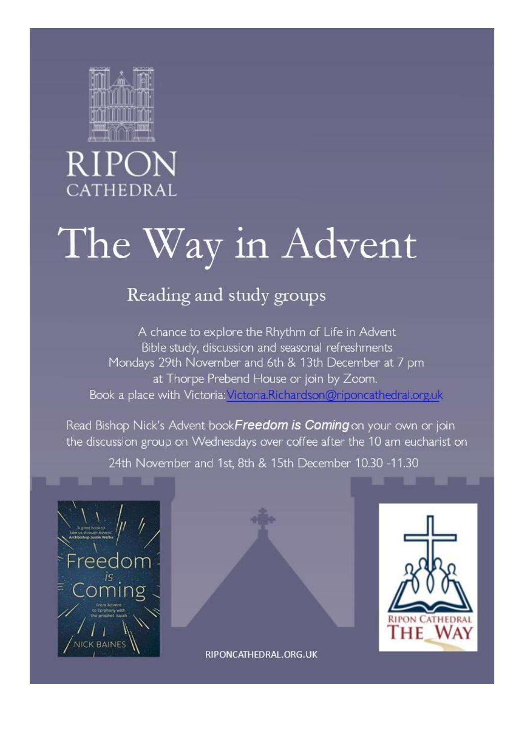

# CATHEDRAL

# The Way in Advent

# Reading and study groups

A chance to explore the Rhythm of Life in Advent Bible study, discussion and seasonal refreshments Mondays 29th November and 6th & 13th December at 7 pm at Thorpe Prebend House or join by Zoom. Book a place with Victoria: Victoria. Richardson@riponcathedral.org.uk

Read Bishop Nick's Advent bookFreedom is Coming on your own or join the discussion group on Wednesdays over coffee after the 10 am eucharist on

24th November and 1st, 8th & 15th December 10.30 -11.30







RIPONCATHEDRAL.ORG.UK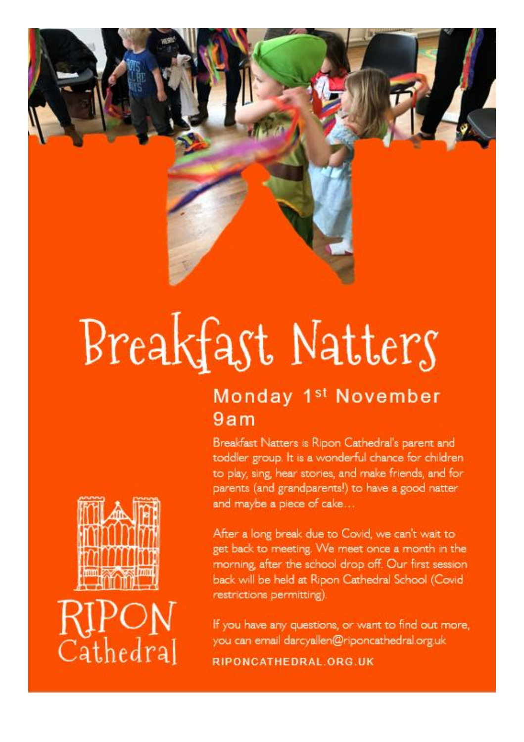

# Breakfast Natters

# Monday 1<sup>st</sup> November  $9am$

Breakfast Natters is Ripon Cathedral's parent and toddler group. It is a wonderful chance for children to play, sing, hear stories, and make friends, and for parents (and grandparents!) to have a good natter and maybe a piece of cake...

After a long break due to Covid, we can't wait to get back to meeting. We meet once a month in the morning, after the school drop off. Our first session back will be held at Ripon Cathedral School (Covid restrictions permitting).

If you have any questions, or want to find out more, you can email darcyallen@riponcathedral.org.uk RIPONCATHEDRAL.ORG.UK

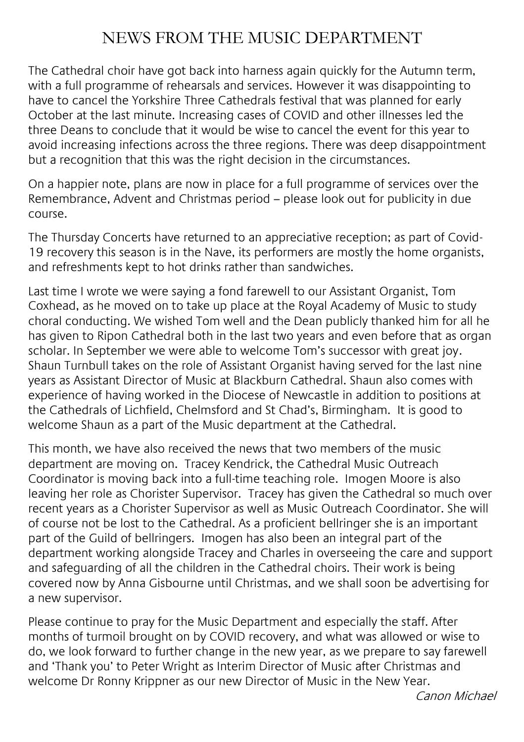## NEWS FROM THE MUSIC DEPARTMENT

The Cathedral choir have got back into harness again quickly for the Autumn term, with a full programme of rehearsals and services. However it was disappointing to have to cancel the Yorkshire Three Cathedrals festival that was planned for early October at the last minute. Increasing cases of COVID and other illnesses led the three Deans to conclude that it would be wise to cancel the event for this year to avoid increasing infections across the three regions. There was deep disappointment but a recognition that this was the right decision in the circumstances.

On a happier note, plans are now in place for a full programme of services over the Remembrance, Advent and Christmas period – please look out for publicity in due course.

The Thursday Concerts have returned to an appreciative reception; as part of Covid-19 recovery this season is in the Nave, its performers are mostly the home organists, and refreshments kept to hot drinks rather than sandwiches.

Last time I wrote we were saying a fond farewell to our Assistant Organist, Tom Coxhead, as he moved on to take up place at the Royal Academy of Music to study choral conducting. We wished Tom well and the Dean publicly thanked him for all he has given to Ripon Cathedral both in the last two years and even before that as organ scholar. In September we were able to welcome Tom's successor with great joy. Shaun Turnbull takes on the role of Assistant Organist having served for the last nine years as Assistant Director of Music at Blackburn Cathedral. Shaun also comes with experience of having worked in the Diocese of Newcastle in addition to positions at the Cathedrals of Lichfield, Chelmsford and St Chad's, Birmingham. It is good to welcome Shaun as a part of the Music department at the Cathedral.

This month, we have also received the news that two members of the music department are moving on. Tracey Kendrick, the Cathedral Music Outreach Coordinator is moving back into a full-time teaching role. Imogen Moore is also leaving her role as Chorister Supervisor. Tracey has given the Cathedral so much over recent years as a Chorister Supervisor as well as Music Outreach Coordinator. She will of course not be lost to the Cathedral. As a proficient bellringer she is an important part of the Guild of bellringers. Imogen has also been an integral part of the department working alongside Tracey and Charles in overseeing the care and support and safeguarding of all the children in the Cathedral choirs. Their work is being covered now by Anna Gisbourne until Christmas, and we shall soon be advertising for a new supervisor.

Please continue to pray for the Music Department and especially the staff. After months of turmoil brought on by COVID recovery, and what was allowed or wise to do, we look forward to further change in the new year, as we prepare to say farewell and 'Thank you' to Peter Wright as Interim Director of Music after Christmas and welcome Dr Ronny Krippner as our new Director of Music in the New Year.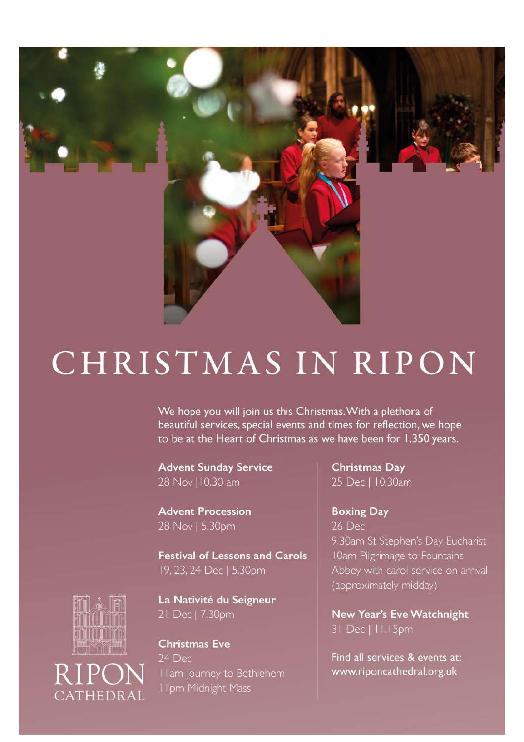

# CHRISTMAS IN RIPON

We hope you will join us this Christmas. With a plethora of beautiful services, special events and times for reflection, we hope to be at the Heart of Christmas as we have been for 1,350 years.

**Advent Sunday Service** 28 Nov | 10.30 am

**Advent Procession** 28 Nov | 5.30pm

**Festival of Lessons and Carols** 19, 23, 24 Dec | 5.30pm

La Nativité du Seigneur 21 Dec | 7.30pm

**Christmas Eve** 24 Dec I I am Journey to Bethlehem I Ipm Midnight Mass

**Christmas Day** 25 Dec | 10.30am

**Boxing Day** 26 Dec 9.30am St Stephen's Day Eucharist (approximately midday)

New Year's Eve Watchnight 31 Dec | 11.15pm

Find all services & events at: www.riponcathedral.org.uk



CATHEDRAL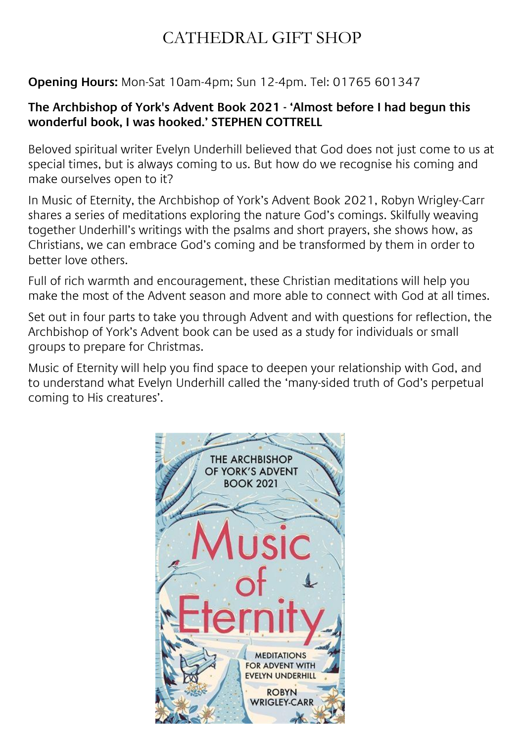# CATHEDRAL GIFT SHOP

## **Opening Hours:** Mon-Sat 10am-4pm; Sun 12-4pm. Tel: 01765 601347

#### **The Archbishop of York's Advent Book 2021 - 'Almost before I had begun this wonderful book, I was hooked.' STEPHEN COTTRELL**

Beloved spiritual writer Evelyn Underhill believed that God does not just come to us at special times, but is always coming to us. But how do we recognise his coming and make ourselves open to it?

In Music of Eternity, the Archbishop of York's Advent Book 2021, Robyn Wrigley-Carr shares a series of meditations exploring the nature God's comings. Skilfully weaving together Underhill's writings with the psalms and short prayers, she shows how, as Christians, we can embrace God's coming and be transformed by them in order to better love others.

Full of rich warmth and encouragement, these Christian meditations will help you make the most of the Advent season and more able to connect with God at all times.

Set out in four parts to take you through Advent and with questions for reflection, the Archbishop of York's Advent book can be used as a study for individuals or small groups to prepare for Christmas.

Music of Eternity will help you find space to deepen your relationship with God, and to understand what Evelyn Underhill called the 'many-sided truth of God's perpetual coming to His creatures'.

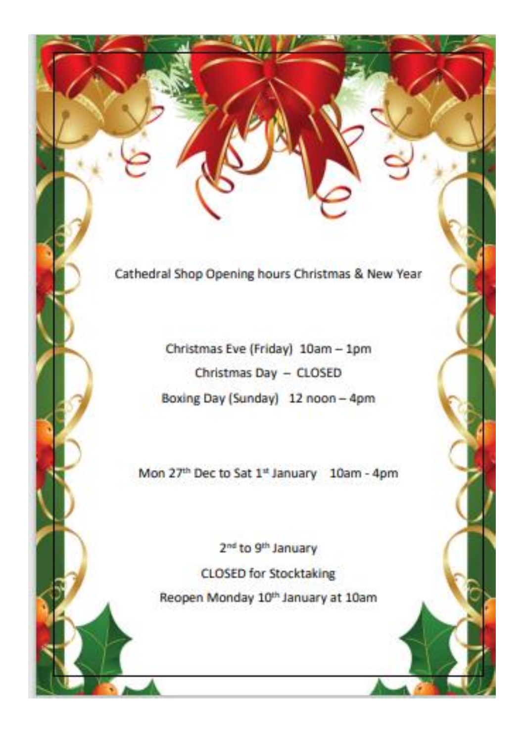Cathedral Shop Opening hours Christmas & New Year

Christmas Eve (Friday) 10am - 1pm Christmas Day - CLOSED Boxing Day (Sunday) 12 noon - 4pm

Mon 27th Dec to Sat 1st January 10am - 4pm

2<sup>nd</sup> to 9<sup>th</sup> January **CLOSED for Stocktaking** Reopen Monday 10th January at 10am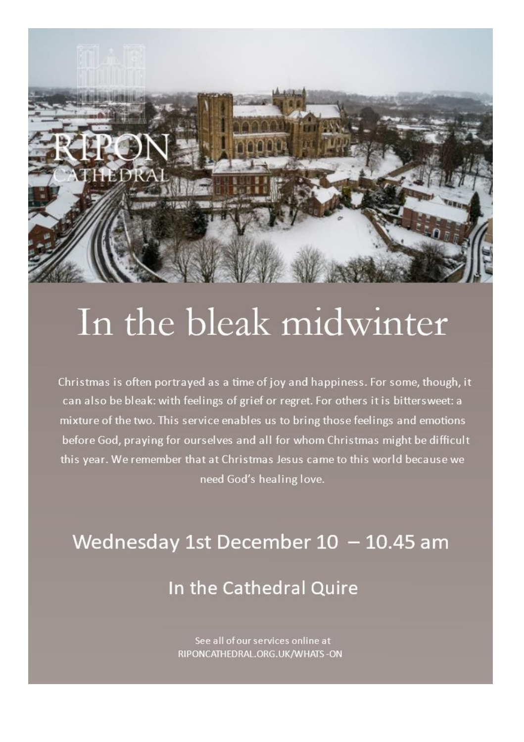

# In the bleak midwinter

Christmas is often portrayed as a time of joy and happiness. For some, though, it can also be bleak: with feelings of grief or regret. For others it is bittersweet: a mixture of the two. This service enables us to bring those feelings and emotions before God, praying for ourselves and all for whom Christmas might be difficult this year. We remember that at Christmas Jesus came to this world because we need God's healing love.

# Wednesday 1st December 10 - 10.45 am In the Cathedral Quire

See all of our services online at RIPONCATHEDRAL.ORG.UK/WHATS-ON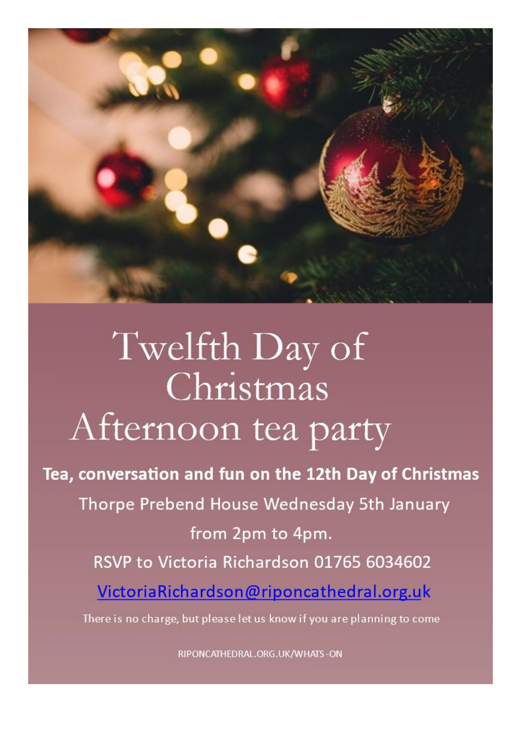

# Twelfth Day of Christmas Afternoon tea party

Tea, conversation and fun on the 12th Day of Christmas Thorpe Prebend House Wednesday 5th January from 2pm to 4pm. RSVP to Victoria Richardson 01765 6034602 VictoriaRichardson@riponcathedral.org.uk There is no charge, but please let us know if you are planning to come

RIPONCATHEDRAL.ORG.UK/WHATS-ON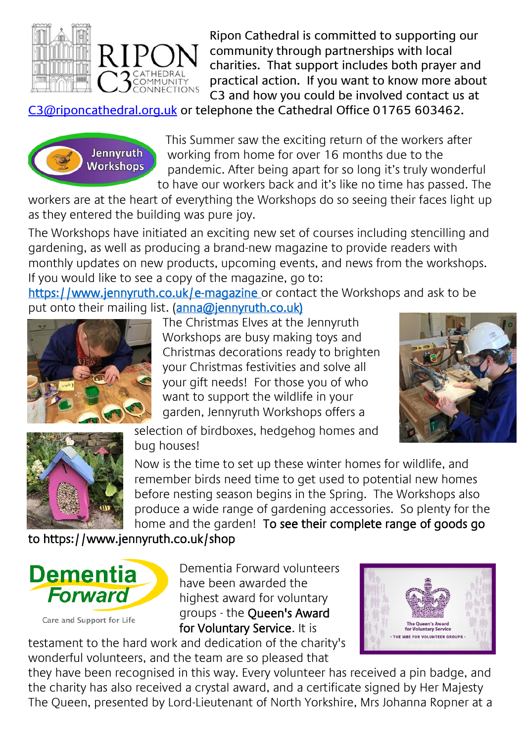

Ripon Cathedral is committed to supporting our community through partnerships with local charities. That support includes both prayer and practical action. If you want to know more about C3 and how you could be involved contact us at

[C3@riponcathedral.org.uk](mailto:C3@riponcathedral.org.uk) or telephone the Cathedral Office 01765 603462.



This Summer saw the exciting return of the workers after working from home for over 16 months due to the pandemic. After being apart for so long it's truly wonderful to have our workers back and it's like no time has passed. The

workers are at the heart of everything the Workshops do so seeing their faces light up as they entered the building was pure joy.

The Workshops have initiated an exciting new set of courses including stencilling and gardening, as well as producing a brand-new magazine to provide readers with monthly updates on new products, upcoming events, and news from the workshops. If you would like to see a copy of the magazine, go to:

https://www.jennyruth.co.uk/e-magazine or contact the Workshops and ask to be put onto their mailing list. (ann[a@jennyruth.co.uk\)](mailto:info@jennyruth.co.uk?subject=FAO%20Anna%20Smith)



The Christmas Elves at the Jennyruth Workshops are busy making toys and Christmas decorations ready to brighten your Christmas festivities and solve all your gift needs! For those you of who want to support the wildlife in your garden, Jennyruth Workshops offers a





selection of birdboxes, hedgehog homes and bug houses!

Now is the time to set up these winter homes for wildlife, and remember birds need time to get used to potential new homes before nesting season begins in the Spring. The Workshops also produce a wide range of gardening accessories. So plenty for the home and the garden! To see their complete range of goods go

## to https://www.jennyruth.co.uk/shop



Care and Support for Life

Dementia Forward volunteers have been awarded the highest award for voluntary groups - the Queen's Award for Voluntary Service. It is

testament to the hard work and dedication of the charity's wonderful volunteers, and the team are so pleased that



they have been recognised in this way. Every volunteer has received a pin badge, and the charity has also received a crystal award, and a certificate signed by Her Majesty The Queen, presented by Lord-Lieutenant of North Yorkshire, Mrs Johanna Ropner at a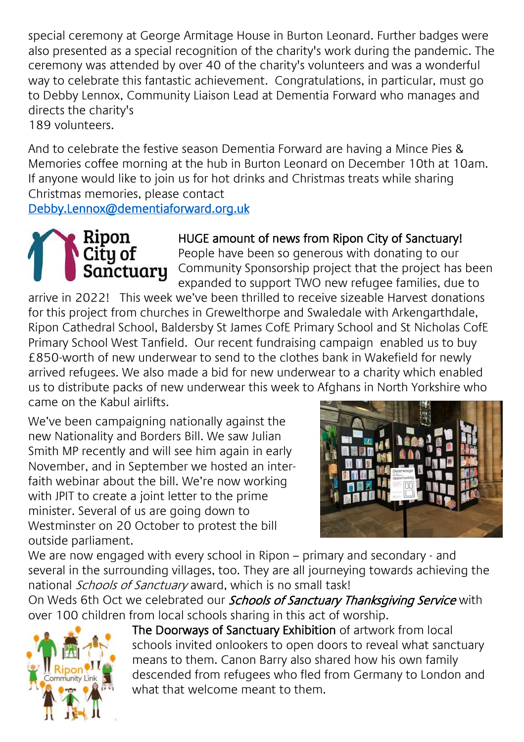special ceremony at George Armitage House in Burton Leonard. Further badges were also presented as a special recognition of the charity's work during the pandemic. The ceremony was attended by over 40 of the charity's volunteers and was a wonderful way to celebrate this fantastic achievement. Congratulations, in particular, must go to Debby Lennox, Community Liaison Lead at Dementia Forward who manages and directs the charity's 189 volunteers.

And to celebrate the festive season Dementia Forward are having a Mince Pies & Memories coffee morning at the hub in Burton Leonard on December 10th at 10am. If anyone would like to join us for hot drinks and Christmas treats while sharing Christmas memories, please contact

[Debby.Lennox@dementiaforward.org.uk](mailto:Debby.Lennox@dementiaforward.org.uk) 



### HUGE amount of news from Ripon City of Sanctuary!

People have been so generous with donating to our Community Sponsorship project that the project has been expanded to support TWO new refugee families, due to

arrive in 2022! This week we've been thrilled to receive sizeable Harvest donations for this project from churches in Grewelthorpe and Swaledale with Arkengarthdale, Ripon Cathedral School, Baldersby St James CofE Primary School and St Nicholas CofE Primary School West Tanfield. Our recent fundraising campaign enabled us to buy £850-worth of new underwear to send to the clothes bank in Wakefield for newly arrived refugees. We also made a bid for new underwear to a charity which enabled us to distribute packs of new underwear this week to Afghans in North Yorkshire who came on the Kabul airlifts.

We've been campaigning nationally against the new Nationality and Borders Bill. We saw Julian Smith MP recently and will see him again in early November, and in September we hosted an interfaith webinar about the bill. We're now working with JPIT to create a joint letter to the prime minister. Several of us are going down to Westminster on 20 October to protest the bill outside parliament.



We are now engaged with every school in Ripon – primary and secondary - and several in the surrounding villages, too. They are all journeying towards achieving the national Schools of Sanctuary award, which is no small task!

On Weds 6th Oct we celebrated our *Schools of Sanctuary Thanksgiving Service* with over 100 children from local schools sharing in this act of worship.



The Doorways of Sanctuary Exhibition of artwork from local schools invited onlookers to open doors to reveal what sanctuary means to them. Canon Barry also shared how his own family descended from refugees who fled from Germany to London and what that welcome meant to them.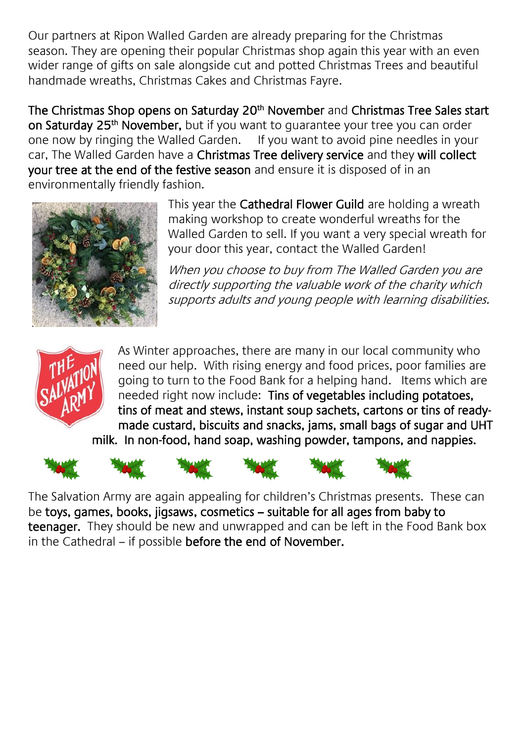Our partners at Ripon Walled Garden are already preparing for the Christmas season. They are opening their popular Christmas shop again this year with an even wider range of gifts on sale alongside cut and potted Christmas Trees and beautiful handmade wreaths, Christmas Cakes and Christmas Fayre.

The Christmas Shop opens on Saturday 20<sup>th</sup> November and Christmas Tree Sales start on Saturday 25<sup>th</sup> November, but if you want to guarantee your tree you can order one now by ringing the Walled Garden. If you want to avoid pine needles in your car, The Walled Garden have a Christmas Tree delivery service and they will collect your tree at the end of the festive season and ensure it is disposed of in an environmentally friendly fashion.



This year the Cathedral Flower Guild are holding a wreath making workshop to create wonderful wreaths for the Walled Garden to sell. If you want a very special wreath for your door this year, contact the Walled Garden!

When you choose to buy from The Walled Garden you are directly supporting the valuable work of the charity which supports adults and young people with learning disabilities.



As Winter approaches, there are many in our local community who need our help. With rising energy and food prices, poor families are going to turn to the Food Bank for a helping hand. Items which are needed right now include: Tins of vegetables including potatoes, tins of meat and stews, instant soup sachets, cartons or tins of readymade custard, biscuits and snacks, jams, small bags of sugar and UHT milk. In non-food, hand soap, washing powder, tampons, and nappies.













The Salvation Army are again appealing for children's Christmas presents. These can be toys, games, books, jigsaws, cosmetics – suitable for all ages from baby to teenager. They should be new and unwrapped and can be left in the Food Bank box in the Cathedral – if possible before the end of November.